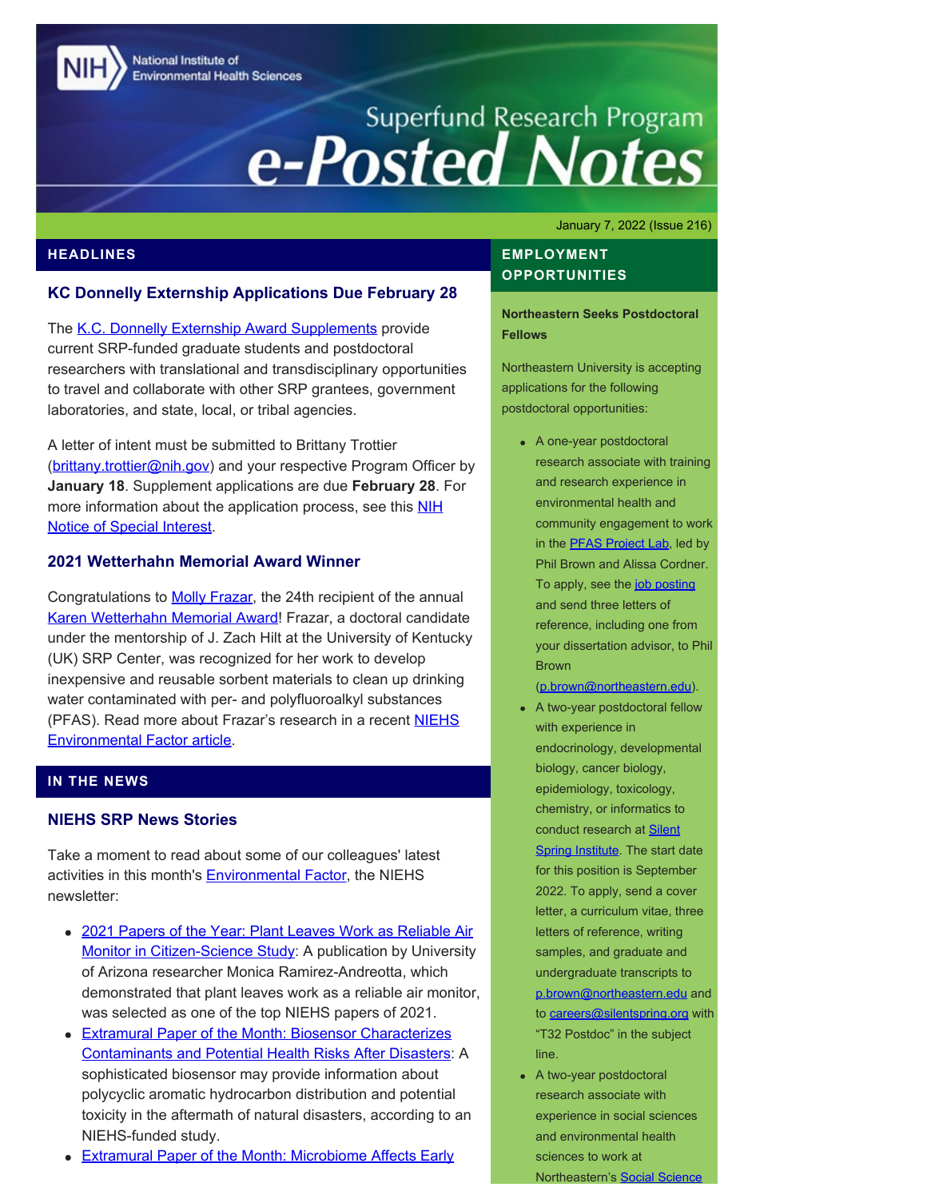National Institute of **Environmental Health Sciences** 

# Superfund Research Program<br> **e-Posted Notes**

January 7, 2022 (Issue 216)

#### **HEADLINES**

#### **KC Donnelly Externship Applications Due February 28**

The [K.C. Donnelly Externship Award Supplements](https://www.niehs.nih.gov/research/supported/centers/srp/training/donnelly/index.cfm) provide current SRP-funded graduate students and postdoctoral researchers with translational and transdisciplinary opportunities to travel and collaborate with other SRP grantees, government laboratories, and state, local, or tribal agencies.

A letter of intent must be submitted to Brittany Trottier ([brittany.trottier@nih.gov\)](mailto:brittany.trottier@nih.gov) and your respective Program Officer by **January 18**. Supplement applications are due **February 28**. For more information about the application process, see this [NIH](https://grants.nih.gov/grants/guide/notice-files/NOT-ES-22-003.html) [Notice of Special Interest.](https://grants.nih.gov/grants/guide/notice-files/NOT-ES-22-003.html)

#### **2021 Wetterhahn Memorial Award Winner**

Congratulations to **Molly Frazar**, the 24th recipient of the annual [Karen Wetterhahn Memorial Award!](https://www.niehs.nih.gov/research/supported/centers/srp/training/wetterhahn/index.cfm) Frazar, a doctoral candidate under the mentorship of J. Zach Hilt at the University of Kentucky (UK) SRP Center, was recognized for her work to develop inexpensive and reusable sorbent materials to clean up drinking water contaminated with per- and polyfluoroalkyl substances (PFAS). Read more about Frazar's research in a recent **NIEHS** [Environmental Factor article.](https://factor.niehs.nih.gov/2022/1/awards-recognition/wetterhahn-awardee/index.htm)

#### **IN THE NEWS**

## **NIEHS SRP News Stories**

Take a moment to read about some of our colleagues' latest activities in this month's **Environmental Factor**, the NIEHS newsletter:

- [2021 Papers of the Year: Plant Leaves Work as Reliable Air](https://factor.niehs.nih.gov/2022/1/papers/papers-of-the-year/index.htm) [Monitor in Citizen-Science Study](https://factor.niehs.nih.gov/2022/1/papers/papers-of-the-year/index.htm): A publication by University of Arizona researcher Monica Ramirez-Andreotta, which demonstrated that plant leaves work as a reliable air monitor, was selected as one of the top NIEHS papers of 2021.
- **[Extramural Paper of the Month: Biosensor Characterizes](https://factor.niehs.nih.gov/2022/1/papers/dert/index.htm#a2)** [Contaminants and Potential Health Risks After Disasters:](https://factor.niehs.nih.gov/2022/1/papers/dert/index.htm#a2) A sophisticated biosensor may provide information about polycyclic aromatic hydrocarbon distribution and potential toxicity in the aftermath of natural disasters, according to an NIEHS-funded study.
- [Extramural Paper of the Month: Microbiome Affects Early](https://factor.niehs.nih.gov/2022/1/papers/dert/index.htm#a3)

## **EMPLOYMENT OPPORTUNITIES**

**Northeastern Seeks Postdoctoral Fellows**

Northeastern University is accepting applications for the following postdoctoral opportunities:

A one-year postdoctoral research associate with training and research experience in environmental health and community engagement to work in the **PFAS Project Lab**, led by Phil Brown and Alissa Cordner. To apply, see the [job posting](https://careers.hrm.northeastern.edu/en-us/job/507964/postdoctoral-research-associate) and send three letters of reference, including one from your dissertation advisor, to Phil Brown

[\(p.brown@northeastern.edu](mailto:p.brown@northeastern.edu)).

- A two-year postdoctoral fellow with experience in endocrinology, developmental biology, cancer biology, epidemiology, toxicology, chemistry, or informatics to conduct research at **Silent** [Spring Institute](https://www.silentspring.org/). The start date for this position is September 2022. To apply, send a cover letter, a curriculum vitae, three letters of reference, writing samples, and graduate and undergraduate transcripts to [p.brown@northeastern.edu](mailto:p.brown@northeastern.edu) and to **careers@silentspring.org** with "T32 Postdoc" in the subject line.
- A two-year postdoctoral research associate with experience in social sciences and environmental health sciences to work at Northeastern's [Social Science](https://www.northeastern.edu/environmentalhealth/)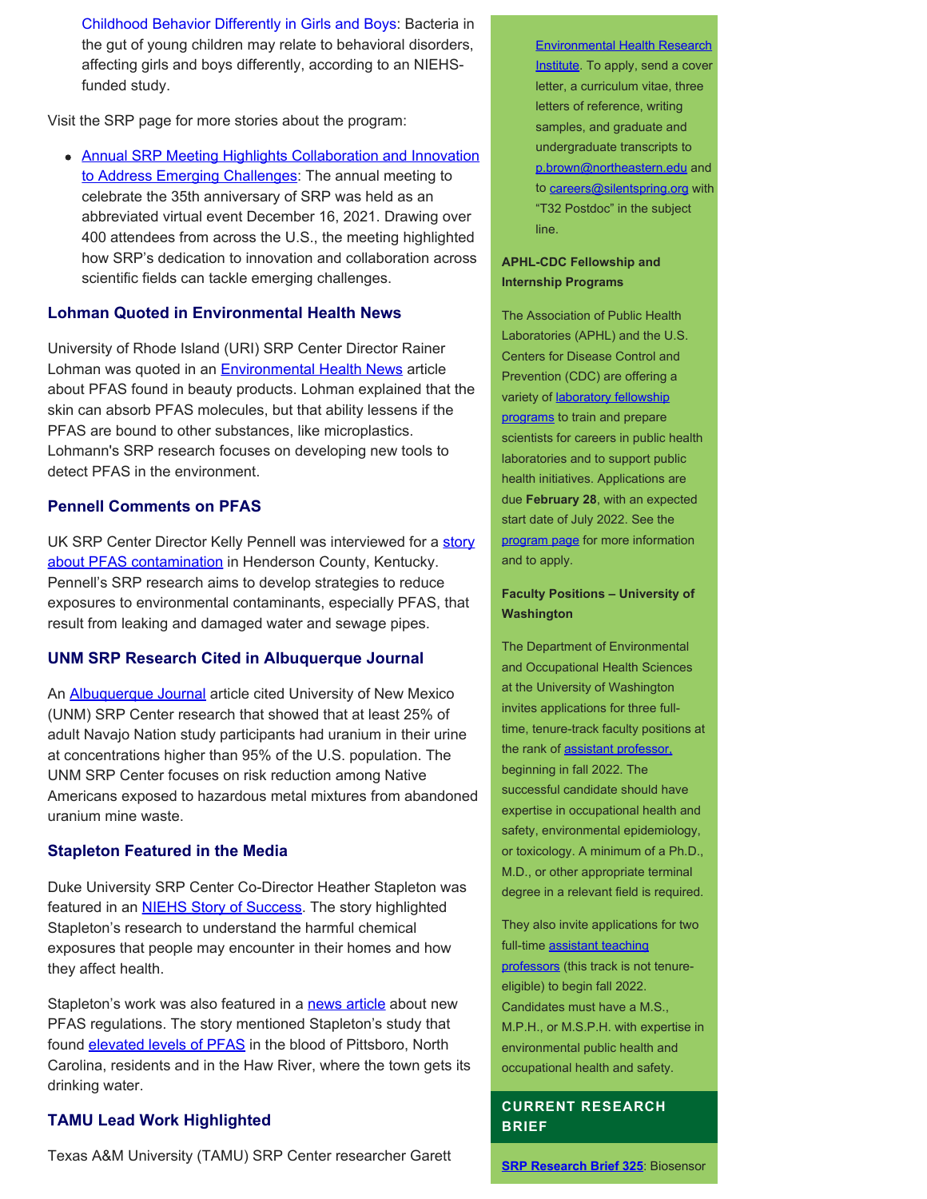[Childhood Behavior Differently in Girls and Boys](https://factor.niehs.nih.gov/2022/1/papers/dert/index.htm#a3): Bacteria in the gut of young children may relate to behavioral disorders, affecting girls and boys differently, according to an NIEHSfunded study.

Visit the SRP page for more stories about the program:

[Annual SRP Meeting Highlights Collaboration and Innovation](https://www.niehs.nih.gov/research/supported/centers/srp/news/2022news/annual%20meeting/index.cfm) [to Address Emerging Challenges:](https://www.niehs.nih.gov/research/supported/centers/srp/news/2022news/annual%20meeting/index.cfm) The annual meeting to celebrate the 35th anniversary of SRP was held as an abbreviated virtual event December 16, 2021. Drawing over 400 attendees from across the U.S., the meeting highlighted how SRP's dedication to innovation and collaboration across scientific fields can tackle emerging challenges.

#### **Lohman Quoted in Environmental Health News**

University of Rhode Island (URI) SRP Center Director Rainer Lohman was quoted in an **[Environmental Health News](https://www.ehn.org/pfas-in-makeup-2655912186/getting-pfas-out-of-makeup)** article about PFAS found in beauty products. Lohman explained that the skin can absorb PFAS molecules, but that ability lessens if the PFAS are bound to other substances, like microplastics. Lohmann's SRP research focuses on developing new tools to detect PFAS in the environment.

#### **Pennell Comments on PFAS**

UK SRP Center Director Kelly Pennell was interviewed for a [story](https://www.tristatehomepage.com/news/local-news/report-claims-henderson-officials-downplayed-chemical-exposure-at-area-company/) [about PFAS contamination](https://www.tristatehomepage.com/news/local-news/report-claims-henderson-officials-downplayed-chemical-exposure-at-area-company/) in Henderson County, Kentucky. Pennell's SRP research aims to develop strategies to reduce exposures to environmental contaminants, especially PFAS, that result from leaking and damaged water and sewage pipes.

## **UNM SRP Research Cited in Albuquerque Journal**

An **Albuquerque Journal** article cited University of New Mexico (UNM) SRP Center research that showed that at least 25% of adult Navajo Nation study participants had uranium in their urine at concentrations higher than 95% of the U.S. population. The UNM SRP Center focuses on risk reduction among Native Americans exposed to hazardous metal mixtures from abandoned uranium mine waste.

#### **Stapleton Featured in the Media**

Duke University SRP Center Co-Director Heather Stapleton was featured in an **[NIEHS Story of Success](https://www.niehs.nih.gov/research/supported/success/2021/stapleton/index.cfm)**. The story highlighted Stapleton's research to understand the harmful chemical exposures that people may encounter in their homes and how they affect health.

Stapleton's work was also featured in a [news article](https://www.wunc.org/environment/2021-10-19/epa-plans-pfas-limit-drinking-water-accelerate-cleanup-regan-north-carolina) about new PFAS regulations. The story mentioned Stapleton's study that found **elevated levels of PFAS** in the blood of Pittsboro, North Carolina, residents and in the Haw River, where the town gets its drinking water.

## **TAMU Lead Work Highlighted**

Texas A&M University (TAMU) SRP Center researcher Garett

#### [Environmental Health Research](https://www.northeastern.edu/environmentalhealth/)

[Institute.](https://www.northeastern.edu/environmentalhealth/) To apply, send a cover letter, a curriculum vitae, three letters of reference, writing samples, and graduate and undergraduate transcripts to [p.brown@northeastern.edu](mailto:p.brown@northeastern.edu) and to [careers@silentspring.org](mailto:careers@silentspring.org) with "T32 Postdoc" in the subject line.

#### **APHL-CDC Fellowship and Internship Programs**

The Association of Public Health Laboratories (APHL) and the U.S. Centers for Disease Control and Prevention (CDC) are offering a variety of **laboratory fellowship** [programs](https://www.aphl.org/fellowships/Documents/APHL-Fellowships-Overview-Flyer.pdf) to train and prepare scientists for careers in public health laboratories and to support public health initiatives. Applications are due **February 28**, with an expected start date of July 2022. See the [program page](http://www.aphl.org/Fellowships) for more information and to apply.

#### **Faculty Positions – University of Washington**

The Department of Environmental and Occupational Health Sciences at the University of Washington invites applications for three fulltime, tenure-track faculty positions at the rank of [assistant professor,](https://apply.interfolio.com/98315) beginning in fall 2022. The successful candidate should have expertise in occupational health and safety, environmental epidemiology, or toxicology. A minimum of a Ph.D., M.D., or other appropriate terminal degree in a relevant field is required.

They also invite applications for two full-time [assistant teaching](https://apply.interfolio.com/98057) [professors](https://apply.interfolio.com/98057) (this track is not tenureeligible) to begin fall 2022. Candidates must have a M.S., M.P.H., or M.S.P.H. with expertise in environmental public health and occupational health and safety.

#### **CURRENT RESEARCH BRIEF**

**[SRP Research Brief 325](https://tools.niehs.nih.gov/srp/researchbriefs/view.cfm?Brief_ID=325)**: Biosensor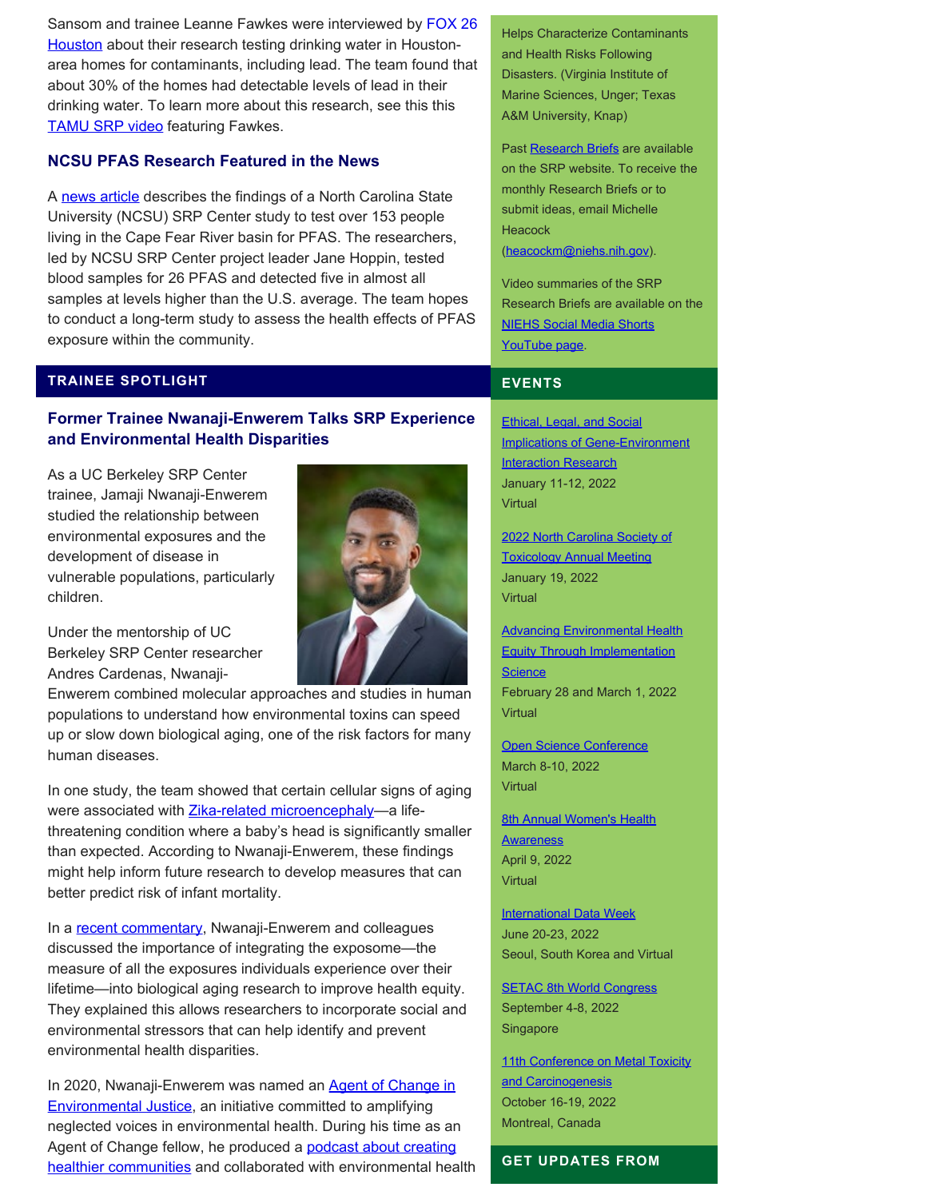Sansom and trainee Leanne Fawkes were interviewed by [FOX 26](https://www.fox26houston.com/news/drinking-water-in-houston-area-homes-testing-positive-for-lead) [Houston](https://www.fox26houston.com/news/drinking-water-in-houston-area-homes-testing-positive-for-lead) about their research testing drinking water in Houstonarea homes for contaminants, including lead. The team found that about 30% of the homes had detectable levels of lead in their drinking water. To learn more about this research, see this this **TAMU SRP video** featuring Fawkes.

## **NCSU PFAS Research Featured in the News**

A [news article](https://www.cbs17.com/news/local-news/cumberland-county-news/multiple-pfas-tested-for-found-in-almost-all-150-blood-samples-taken-from-people-in-cape-fear-river-basin/) describes the findings of a North Carolina State University (NCSU) SRP Center study to test over 153 people living in the Cape Fear River basin for PFAS. The researchers, led by NCSU SRP Center project leader Jane Hoppin, tested blood samples for 26 PFAS and detected five in almost all samples at levels higher than the U.S. average. The team hopes to conduct a long-term study to assess the health effects of PFAS exposure within the community.

#### **TRAINEE SPOTLIGHT**

## **Former Trainee Nwanaji-Enwerem Talks SRP Experience and Environmental Health Disparities**

As a UC Berkeley SRP Center trainee, Jamaji Nwanaji-Enwerem studied the relationship between environmental exposures and the development of disease in vulnerable populations, particularly children.



Under the mentorship of UC Berkeley SRP Center researcher Andres Cardenas, Nwanaji-

Enwerem combined molecular approaches and studies in human populations to understand how environmental toxins can speed up or slow down biological aging, one of the risk factors for many human diseases.

In one study, the team showed that certain cellular signs of aging were associated with **[Zika-related microencephaly](https://pubmed.ncbi.nlm.nih.gov/33822234/)**—a lifethreatening condition where a baby's head is significantly smaller than expected. According to Nwanaji-Enwerem, these findings might help inform future research to develop measures that can better predict risk of infant mortality.

In a [recent commentary](https://pubmed.ncbi.nlm.nih.gov/33822649/), Nwanaji-Enwerem and colleagues discussed the importance of integrating the exposome—the measure of all the exposures individuals experience over their lifetime—into biological aging research to improve health equity. They explained this allows researchers to incorporate social and environmental stressors that can help identify and prevent environmental health disparities.

In 2020, Nwanaji-Enwerem was named an **Agent of Change in** [Environmental Justice,](https://agentsofchangeinej.org/fellows/jamaji-nwanaji-enwerem-phd/) an initiative committed to amplifying neglected voices in environmental health. During his time as an Agent of Change fellow, he produced a [podcast about creating](https://podcasts.apple.com/us/podcast/jamaji-nwanaji-enwerem-on-healing-medicine-research/id1541010256?i=1000522320448) [healthier communities](https://podcasts.apple.com/us/podcast/jamaji-nwanaji-enwerem-on-healing-medicine-research/id1541010256?i=1000522320448) and collaborated with environmental health

Helps Characterize Contaminants and Health Risks Following Disasters. (Virginia Institute of Marine Sciences, Unger; Texas A&M University, Knap)

Past [Research Briefs](http://tools.niehs.nih.gov/srp/researchbriefs/index.cfm) are available on the SRP website. To receive the monthly Research Briefs or to submit ideas, email Michelle **Heacock** [\(heacockm@niehs.nih.gov\)](mailto:heacockm@niehs.nih.gov).

Video summaries of the SRP Research Briefs are available on the [NIEHS Social Media Shorts](https://www.youtube.com/playlist?list=PLlo0xQLFI54GlGBHIWb3va3YrKAv16SZ8) [YouTube page.](https://www.youtube.com/playlist?list=PLlo0xQLFI54GlGBHIWb3va3YrKAv16SZ8)

## **EVENTS**

[Ethical, Legal, and Social](https://www.niehs.nih.gov/news/events/elsi/index.cfm) [Implications of Gene-Environment](https://www.niehs.nih.gov/news/events/elsi/index.cfm) **[Interaction Research](https://www.niehs.nih.gov/news/events/elsi/index.cfm)** January 11-12, 2022 **Virtual** 

[2022 North Carolina Society of](https://www.toxicology.org/groups/rc/nc/meetings.asp) [Toxicology Annual Meeting](https://www.toxicology.org/groups/rc/nc/meetings.asp) January 19, 2022 **Virtual** 

[Advancing Environmental Health](https://tools.niehs.nih.gov/conference/eheworkshop2022/) [Equity Through Implementation](https://tools.niehs.nih.gov/conference/eheworkshop2022/) **[Science](https://tools.niehs.nih.gov/conference/eheworkshop2022/)** February 28 and March 1, 2022 **Virtual** 

[Open Science Conference](https://www.open-science-conference.eu/) March 8-10, 2022 **Virtual** 

[8th Annual Women's Health](https://www.niehs.nih.gov/news/events/whad/index.cfm) **[Awareness](https://www.niehs.nih.gov/news/events/whad/index.cfm)** April 9, 2022 Virtual

**[International Data Week](https://internationaldataweek.org/)** June 20-23, 2022 Seoul, South Korea and Virtual

[SETAC 8th World Congress](https://singapore.setac.org/) September 4-8, 2022 **Singapore** 

[11th Conference on Metal Toxicity](https://www.fourwav.es/view/1725/info/) [and Carcinogenesis](https://www.fourwav.es/view/1725/info/) October 16-19, 2022 Montreal, Canada

**GET UPDATES FROM**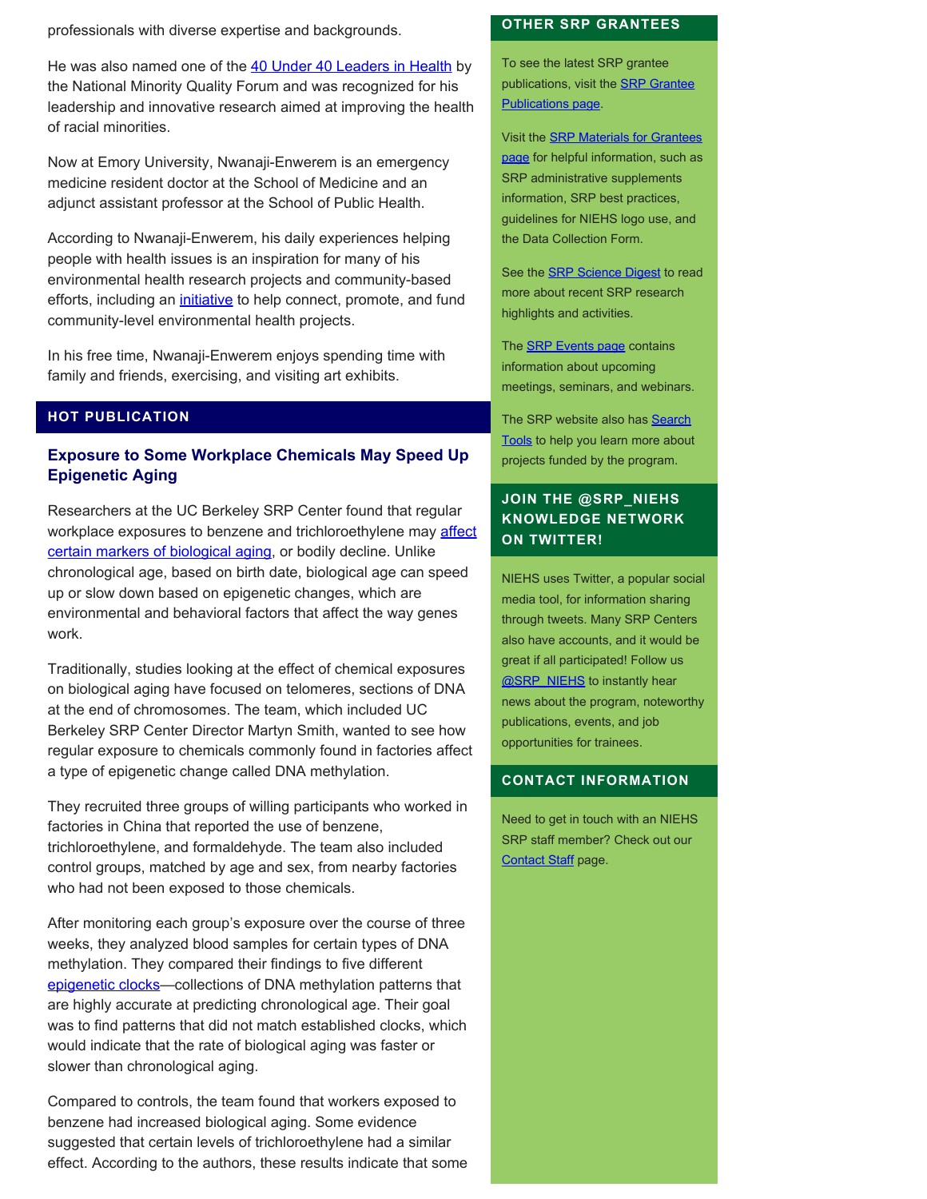professionals with diverse expertise and backgrounds.

He was also named one of the [40 Under 40 Leaders in Health](https://www.nmqf.org/40under40) by the National Minority Quality Forum and was recognized for his leadership and innovative research aimed at improving the health of racial minorities.

Now at Emory University, Nwanaji-Enwerem is an emergency medicine resident doctor at the School of Medicine and an adjunct assistant professor at the School of Public Health.

According to Nwanaji-Enwerem, his daily experiences helping people with health issues is an inspiration for many of his environmental health research projects and community-based efforts, including an *initiative* to help connect, promote, and fund community-level environmental health projects.

In his free time, Nwanaji-Enwerem enjoys spending time with family and friends, exercising, and visiting art exhibits.

# **HOT PUBLICATION**

## **Exposure to Some Workplace Chemicals May Speed Up Epigenetic Aging**

Researchers at the UC Berkeley SRP Center found that regular workplace exposures to benzene and trichloroethylene may [affect](https://pubmed.ncbi.nlm.nih.gov/34560324/) [certain markers of biological aging,](https://pubmed.ncbi.nlm.nih.gov/34560324/) or bodily decline. Unlike chronological age, based on birth date, biological age can speed up or slow down based on epigenetic changes, which are environmental and behavioral factors that affect the way genes work.

Traditionally, studies looking at the effect of chemical exposures on biological aging have focused on telomeres, sections of DNA at the end of chromosomes. The team, which included UC Berkeley SRP Center Director Martyn Smith, wanted to see how regular exposure to chemicals commonly found in factories affect a type of epigenetic change called DNA methylation.

They recruited three groups of willing participants who worked in factories in China that reported the use of benzene, trichloroethylene, and formaldehyde. The team also included control groups, matched by age and sex, from nearby factories who had not been exposed to those chemicals.

After monitoring each group's exposure over the course of three weeks, they analyzed blood samples for certain types of DNA methylation. They compared their findings to five different epigenetic clocks-collections of DNA methylation patterns that are highly accurate at predicting chronological age. Their goal was to find patterns that did not match established clocks, which would indicate that the rate of biological aging was faster or slower than chronological aging.

Compared to controls, the team found that workers exposed to benzene had increased biological aging. Some evidence suggested that certain levels of trichloroethylene had a similar effect. According to the authors, these results indicate that some

#### **OTHER SRP GRANTEES**

To see the latest SRP grantee publications, visit the [SRP Grantee](https://tools.niehs.nih.gov/srp/publications/granteepublications.cfm) [Publications page.](https://tools.niehs.nih.gov/srp/publications/granteepublications.cfm)

Visit the [SRP Materials for Grantees](https://www.niehs.nih.gov/research/supported/centers/srp/resources/index.cfm) [page](https://www.niehs.nih.gov/research/supported/centers/srp/resources/index.cfm) for helpful information, such as SRP administrative supplements information, SRP best practices, guidelines for NIEHS logo use, and the Data Collection Form.

See the **SRP Science Digest** to read more about recent SRP research highlights and activities.

The **SRP Events page** contains information about upcoming meetings, seminars, and webinars.

The SRP website also has [Search](http://tools.niehs.nih.gov/srp/search/index.cfm) [Tools](http://tools.niehs.nih.gov/srp/search/index.cfm) to help you learn more about projects funded by the program.

## **JOIN THE @SRP\_NIEHS KNOWLEDGE NETWORK ON TWITTER!**

NIEHS uses Twitter, a popular social media tool, for information sharing through tweets. Many SRP Centers also have accounts, and it would be great if all participated! Follow us **@SRP\_NIEHS** to instantly hear news about the program, noteworthy publications, events, and job opportunities for trainees.

#### **CONTACT INFORMATION**

Need to get in touch with an NIEHS SRP staff member? Check out our [Contact Staff](https://www.niehs.nih.gov/research/supported/centers/srp/about/contact_us/index.cfm) page.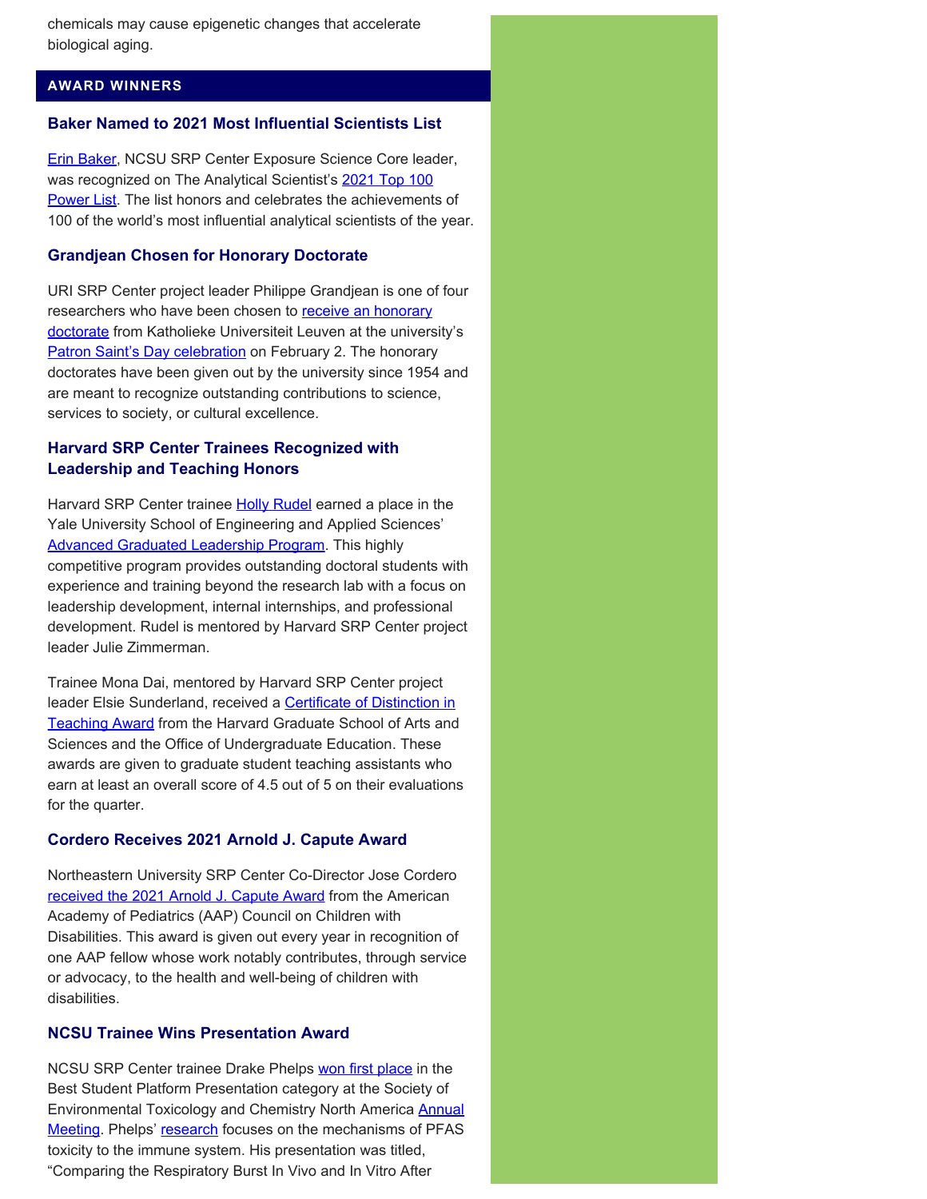chemicals may cause epigenetic changes that accelerate biological aging.

## **AWARD WINNERS**

#### **Baker Named to 2021 Most Influential Scientists List**

[Erin Baker](https://theanalyticalscientist.com/power-list/2021/erin-baker), NCSU SRP Center Exposure Science Core leader, was recognized on The Analytical Scientist's [2021 Top 100](https://theanalyticalscientist.com/power-list/2021) [Power List](https://theanalyticalscientist.com/power-list/2021). The list honors and celebrates the achievements of 100 of the world's most influential analytical scientists of the year.

#### **Grandjean Chosen for Honorary Doctorate**

URI SRP Center project leader Philippe Grandjean is one of four researchers who have been chosen to [receive an honorary](https://nieuws.kuleuven.be/en/content/2021/patronsaintsday-2022-ku-leuven-announces-names-of-new-honorary-doctors) [doctorate](https://nieuws.kuleuven.be/en/content/2021/patronsaintsday-2022-ku-leuven-announces-names-of-new-honorary-doctors) from Katholieke Universiteit Leuven at the university's [Patron Saint's Day celebration](https://www.kuleuven.be/english/about-kuleuven/patron-saints-day/what-is-patron-saints-day) on February 2. The honorary doctorates have been given out by the university since 1954 and are meant to recognize outstanding contributions to science, services to society, or cultural excellence.

## **Harvard SRP Center Trainees Recognized with Leadership and Teaching Honors**

Harvard SRP Center trainee **Holly Rudel** earned a place in the Yale University School of Engineering and Applied Sciences' [Advanced Graduated Leadership Program.](https://seas.yale.edu/graduate-study/advanced-graduate-leadership-program) This highly competitive program provides outstanding doctoral students with experience and training beyond the research lab with a focus on leadership development, internal internships, and professional development. Rudel is mentored by Harvard SRP Center project leader Julie Zimmerman.

Trainee Mona Dai, mentored by Harvard SRP Center project leader Elsie Sunderland, received a [Certificate of Distinction in](https://memcare.sph.harvard.edu/news/mona-dai-receives-harvard-teaching-award) [Teaching Award](https://memcare.sph.harvard.edu/news/mona-dai-receives-harvard-teaching-award) from the Harvard Graduate School of Arts and Sciences and the Office of Undergraduate Education. These awards are given to graduate student teaching assistants who earn at least an overall score of 4.5 out of 5 on their evaluations for the quarter.

#### **Cordero Receives 2021 Arnold J. Capute Award**

Northeastern University SRP Center Co-Director Jose Cordero [received the 2021 Arnold J. Capute Award](https://web.northeastern.edu/protect/protect-co-director-jose-cordero-receives-2021-arnold-j-capute-award/) from the American Academy of Pediatrics (AAP) Council on Children with Disabilities. This award is given out every year in recognition of one AAP fellow whose work notably contributes, through service or advocacy, to the health and well-being of children with disabilities.

### **NCSU Trainee Wins Presentation Award**

NCSU SRP Center trainee Drake Phelps [won first place](https://superfund.ncsu.edu/news/2451/) in the Best Student Platform Presentation category at the Society of Environmental Toxicology and Chemistry North America [Annual](https://scicon4.setac.org/) [Meeting.](https://scicon4.setac.org/) Phelps' [research](https://superfund.ncsu.edu/project-2/) focuses on the mechanisms of PFAS toxicity to the immune system. His presentation was titled, "Comparing the Respiratory Burst In Vivo and In Vitro After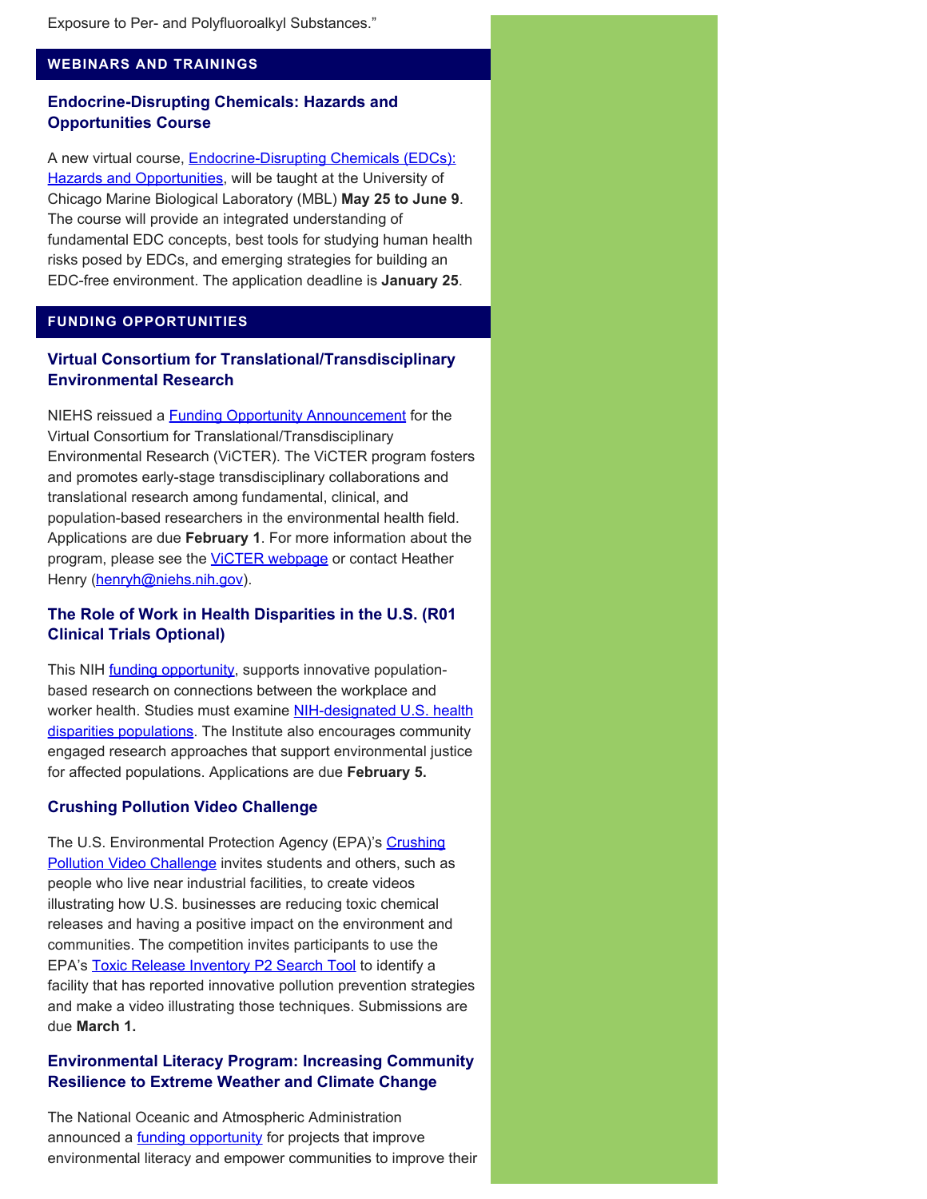#### **WEBINARS AND TRAININGS**

## **Endocrine-Disrupting Chemicals: Hazards and Opportunities Course**

A new virtual course, **[Endocrine-Disrupting Chemicals \(EDCs\):](https://www.mbl.edu/education/courses/echo/)** [Hazards and Opportunities,](https://www.mbl.edu/education/courses/echo/) will be taught at the University of Chicago Marine Biological Laboratory (MBL) **May 25 to June 9**. The course will provide an integrated understanding of fundamental EDC concepts, best tools for studying human health risks posed by EDCs, and emerging strategies for building an EDC-free environment. The application deadline is **January 25**.

### **FUNDING OPPORTUNITIES**

## **Virtual Consortium for Translational/Transdisciplinary Environmental Research**

NIEHS reissued a **Funding Opportunity Announcement** for the Virtual Consortium for Translational/Transdisciplinary Environmental Research (ViCTER). The ViCTER program fosters and promotes early-stage transdisciplinary collaborations and translational research among fundamental, clinical, and population-based researchers in the environmental health field. Applications are due **February 1**. For more information about the program, please see the **VICTER webpage** or contact Heather Henry [\(henryh@niehs.nih.gov](mailto:henryh@niehs.nih.gov)).

## **The Role of Work in Health Disparities in the U.S. (R01 Clinical Trials Optional)**

This NIH **funding opportunity**, supports innovative populationbased research on connections between the workplace and worker health. Studies must examine [NIH-designated U.S. health](https://www.nimhd.nih.gov/about/overview/) [disparities populations.](https://www.nimhd.nih.gov/about/overview/) The Institute also encourages community engaged research approaches that support environmental justice for affected populations. Applications are due **February 5.**

#### **Crushing Pollution Video Challenge**

The U.S. Environmental Protection Agency (EPA)'s [Crushing](https://www.epa.gov/toxics-release-inventory-tri-program/companies-crushing-pollution-video-challenge) **[Pollution Video Challenge](https://www.epa.gov/toxics-release-inventory-tri-program/companies-crushing-pollution-video-challenge)** invites students and others, such as people who live near industrial facilities, to create videos illustrating how U.S. businesses are reducing toxic chemical releases and having a positive impact on the environment and communities. The competition invites participants to use the EPA's [Toxic Release Inventory P2 Search Tool](https://enviro.epa.gov/facts/tri/p2.html) to identify a facility that has reported innovative pollution prevention strategies and make a video illustrating those techniques. Submissions are due **March 1.**

## **Environmental Literacy Program: Increasing Community Resilience to Extreme Weather and Climate Change**

The National Oceanic and Atmospheric Administration announced a **funding opportunity** for projects that improve environmental literacy and empower communities to improve their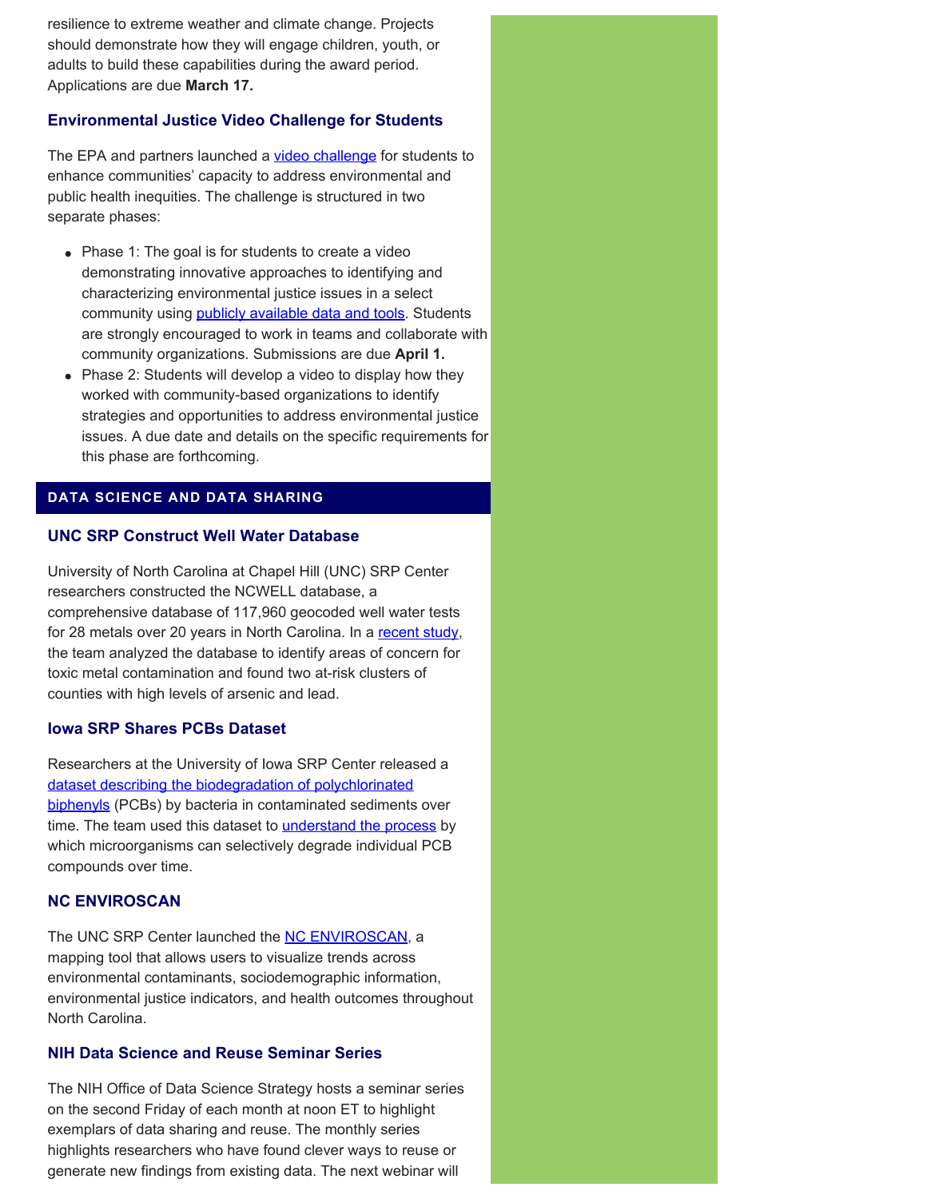resilience to extreme weather and climate change. Projects should demonstrate how they will engage children, youth, or adults to build these capabilities during the award period. Applications are due **March 17.**

#### **Environmental Justice Video Challenge for Students**

The EPA and partners launched a *video challenge* for students to enhance communities' capacity to address environmental and public health inequities. The challenge is structured in two separate phases:

- Phase 1: The goal is for students to create a video demonstrating innovative approaches to identifying and characterizing environmental justice issues in a select community using [publicly available data and tools](https://www.epa.gov/innovation/ej-video-challenge-students-tools-and-data-resources). Students are strongly encouraged to work in teams and collaborate with community organizations. Submissions are due **April 1.**
- Phase 2: Students will develop a video to display how they worked with community-based organizations to identify strategies and opportunities to address environmental justice issues. A due date and details on the specific requirements for this phase are forthcoming.

#### **DATA SCIENCE AND DATA SHARING**

#### **UNC SRP Construct Well Water Database**

University of North Carolina at Chapel Hill (UNC) SRP Center researchers constructed the NCWELL database, a comprehensive database of 117,960 geocoded well water tests for 28 metals over 20 years in North Carolina. In a [recent study](https://pubmed.ncbi.nlm.nih.gov/34767890/), the team analyzed the database to identify areas of concern for toxic metal contamination and found two at-risk clusters of counties with high levels of arsenic and lead.

#### **Iowa SRP Shares PCBs Dataset**

Researchers at the University of Iowa SRP Center released a [dataset describing the biodegradation of polychlorinated](https://pubmed.ncbi.nlm.nih.gov/33604434/) [biphenyls](https://pubmed.ncbi.nlm.nih.gov/33604434/) (PCBs) by bacteria in contaminated sediments over time. The team used this dataset to *understand the process* by which microorganisms can selectively degrade individual PCB compounds over time.

## **NC ENVIROSCAN**

The UNC SRP Center launched the [NC ENVIROSCAN](https://enviroscan.org/), a mapping tool that allows users to visualize trends across environmental contaminants, sociodemographic information, environmental justice indicators, and health outcomes throughout North Carolina.

## **NIH Data Science and Reuse Seminar Series**

The NIH Office of Data Science Strategy hosts a seminar series on the second Friday of each month at noon ET to highlight exemplars of data sharing and reuse. The monthly series highlights researchers who have found clever ways to reuse or generate new findings from existing data. The next webinar will